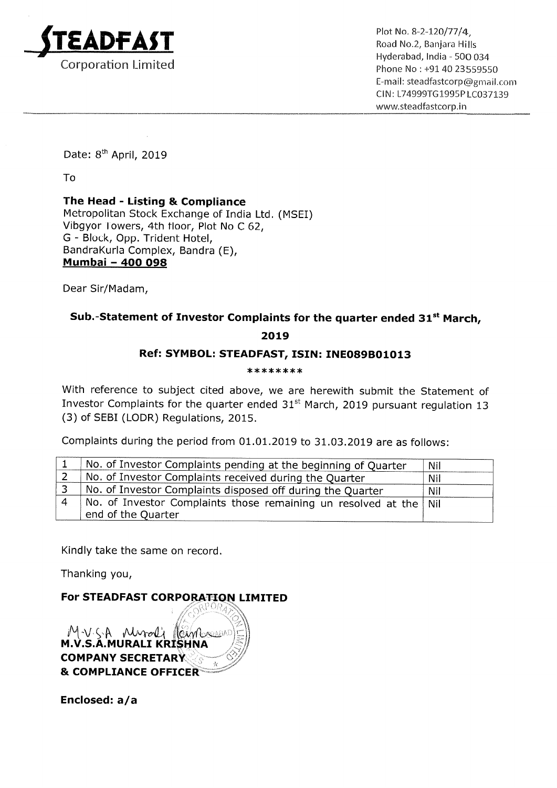

Hyderabad, India — 500 034 Corporation Limited **Phone No : +91 40 23559550** E-mail: steadfastcorp@gmail.com CIN: L74999TG1995PLC037139 www.5teadfastcorp.in

Date: 8<sup>th</sup> April, 2019

To

The Head — Listing & Compliance Metropolitan Stock Exchange of India Ltd. (MSEI) Vibgyor lowers, 4th floor, Plot No <sup>C</sup> 62, G — Block, Opp. Trident Hotel, BandraKurla Complex, Bandra (E), Mumbai — 400 098

Dear Sir/Madam,

## Sub.-Statement of Investor Complaints for the quarter ended 31<sup>st</sup> March, 2019

## Ref: SYMBOL: STEADFAST, ISIN: INE089801013

## \*\*\*\*\*\*\*\*

With reference to subject cited above, we are herewith submit the Statement of Investor Complaints for the quarter ended  $31<sup>st</sup>$  March, 2019 pursuant regulation 13 (3) of SEBI (LODR) Regulations, 2015.

Complaints during the period from 01.01.2019 to 31.03.2019 are as follows:

| No. of Investor Complaints pending at the beginning of Quarter                            | Nil |
|-------------------------------------------------------------------------------------------|-----|
| No. of Investor Complaints received during the Quarter                                    | Nil |
| No. of Investor Complaints disposed off during the Quarter                                | Nil |
| No. of Investor Complaints those remaining un resolved at the   Nil<br>end of the Quarter |     |

Kindly take the same on record.

Thanking you,

 $\sim$  For STEADFAST CORPORATION LIMITED

MVGA Murali Mantonesi M.V.S.A. MURALI KRISHNA COMPANY SECRETAR & COMPLIANCE OFFICE

Enclosed: a/a